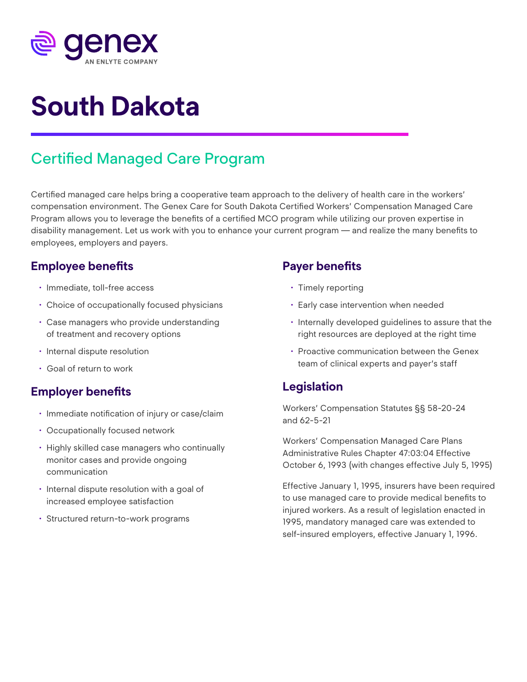

# **South Dakota**

## Certified Managed Care Program

Certified managed care helps bring a cooperative team approach to the delivery of health care in the workers' compensation environment. The Genex Care for South Dakota Certified Workers' Compensation Managed Care Program allows you to leverage the benefits of a certified MCO program while utilizing our proven expertise in disability management. Let us work with you to enhance your current program — and realize the many benefits to employees, employers and payers.

#### **Employee benefits**

- Immediate, toll-free access
- Choice of occupationally focused physicians
- Case managers who provide understanding of treatment and recovery options
- Internal dispute resolution
- Goal of return to work

#### **Employer benefits**

- Immediate notification of injury or case/claim
- Occupationally focused network
- Highly skilled case managers who continually monitor cases and provide ongoing communication
- Internal dispute resolution with a goal of increased employee satisfaction
- Structured return-to-work programs

#### **Payer benefits**

- Timely reporting
- Early case intervention when needed
- Internally developed guidelines to assure that the right resources are deployed at the right time
- Proactive communication between the Genex team of clinical experts and payer's staff

#### **Legislation**

Workers' Compensation Statutes §§ 58-20-24 and 62-5-21

Workers' Compensation Managed Care Plans Administrative Rules Chapter 47:03:04 Effective October 6, 1993 (with changes effective July 5, 1995)

Effective January 1, 1995, insurers have been required to use managed care to provide medical benefits to injured workers. As a result of legislation enacted in 1995, mandatory managed care was extended to self-insured employers, effective January 1, 1996.